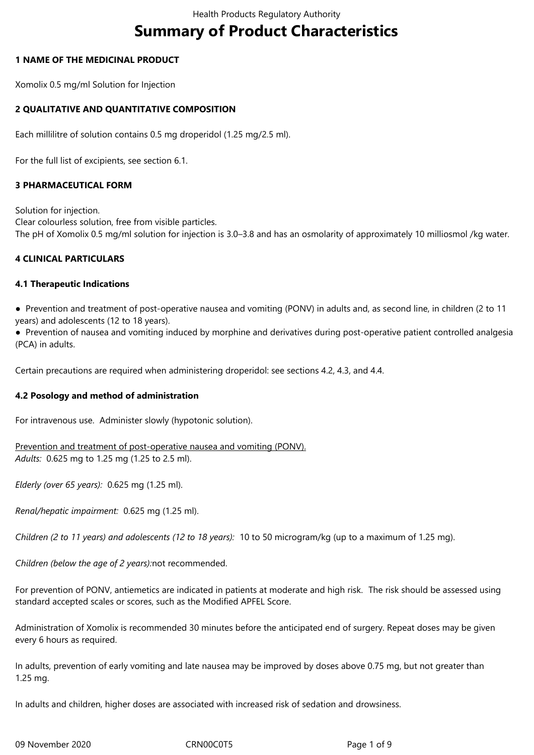# **Summary of Product Characteristics**

## **1 NAME OF THE MEDICINAL PRODUCT**

Xomolix 0.5 mg/ml Solution for Injection

## **2 QUALITATIVE AND QUANTITATIVE COMPOSITION**

Each millilitre of solution contains 0.5 mg droperidol (1.25 mg/2.5 ml).

For the full list of excipients, see section 6.1.

## **3 PHARMACEUTICAL FORM**

Solution for injection. Clear colourless solution, free from visible particles. The pH of Xomolix 0.5 mg/ml solution for injection is 3.0–3.8 and has an osmolarity of approximately 10 milliosmol /kg water.

## **4 CLINICAL PARTICULARS**

### **4.1 Therapeutic Indications**

● Prevention and treatment of post-operative nausea and vomiting (PONV) in adults and, as second line, in children (2 to 11 years) and adolescents (12 to 18 years).

● Prevention of nausea and vomiting induced by morphine and derivatives during post-operative patient controlled analgesia (PCA) in adults.

Certain precautions are required when administering droperidol: see sections 4.2, 4.3, and 4.4.

### **4.2 Posology and method of administration**

For intravenous use. Administer slowly (hypotonic solution).

Prevention and treatment of post-operative nausea and vomiting (PONV). *Adults:* 0.625 mg to 1.25 mg (1.25 to 2.5 ml).

*Elderly (over 65 years):* 0.625 mg (1.25 ml).

*Renal/hepatic impairment:* 0.625 mg (1.25 ml).

*Children (2 to 11 years) and adolescents (12 to 18 years):* 10 to 50 microgram/kg (up to a maximum of 1.25 mg).

*Children (below the age of 2 years):*not recommended.

For prevention of PONV, antiemetics are indicated in patients at moderate and high risk. The risk should be assessed using standard accepted scales or scores, such as the Modified APFEL Score.

Administration of Xomolix is recommended 30 minutes before the anticipated end of surgery. Repeat doses may be given every 6 hours as required.

In adults, prevention of early vomiting and late nausea may be improved by doses above 0.75 mg, but not greater than 1.25 mg.

In adults and children, higher doses are associated with increased risk of sedation and drowsiness.

09 November 2020 CRN00C0T5 Page 1 of 9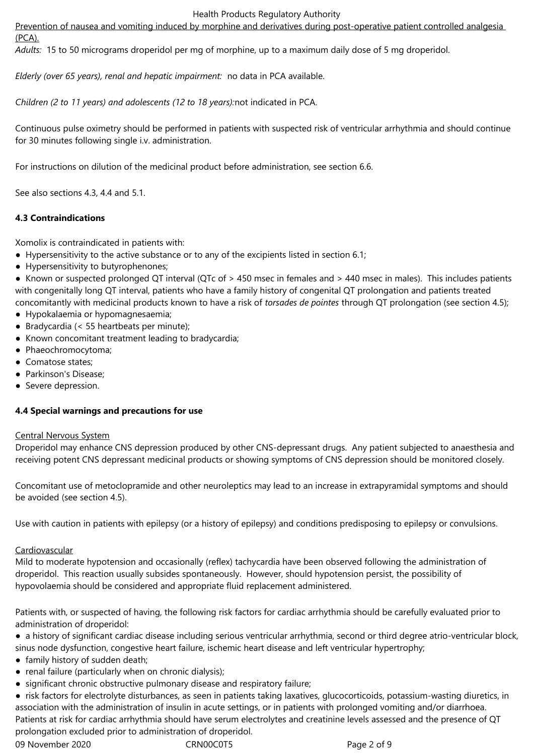Prevention of nausea and vomiting induced by morphine and derivatives during post-operative patient controlled analgesia (PCA).

*Adults:* 15 to 50 micrograms droperidol per mg of morphine, up to a maximum daily dose of 5 mg droperidol.

*Elderly (over 65 years), renal and hepatic impairment:* no data in PCA available.

*Children (2 to 11 years) and adolescents (12 to 18 years):*not indicated in PCA.

Continuous pulse oximetry should be performed in patients with suspected risk of ventricular arrhythmia and should continue for 30 minutes following single i.v. administration.

For instructions on dilution of the medicinal product before administration, see section 6.6.

See also sections 4.3, 4.4 and 5.1.

## **4.3 Contraindications**

Xomolix is contraindicated in patients with:

- Hypersensitivity to the active substance or to any of the excipients listed in section 6.1;
- Hypersensitivity to butyrophenones;

● Known or suspected prolonged QT interval (QTc of > 450 msec in females and > 440 msec in males). This includes patients with congenitally long QT interval, patients who have a family history of congenital QT prolongation and patients treated concomitantly with medicinal products known to have a risk of *torsades de pointes* through QT prolongation (see section 4.5);

- Hypokalaemia or hypomagnesaemia;
- Bradycardia (< 55 heartbeats per minute);
- Known concomitant treatment leading to bradycardia;
- Phaeochromocytoma;
- Comatose states;
- Parkinson's Disease;
- Severe depression.

### **4.4 Special warnings and precautions for use**

### Central Nervous System

Droperidol may enhance CNS depression produced by other CNS-depressant drugs. Any patient subjected to anaesthesia and receiving potent CNS depressant medicinal products or showing symptoms of CNS depression should be monitored closely.

Concomitant use of metoclopramide and other neuroleptics may lead to an increase in extrapyramidal symptoms and should be avoided (see section 4.5).

Use with caution in patients with epilepsy (or a history of epilepsy) and conditions predisposing to epilepsy or convulsions.

### Cardiovascular

Mild to moderate hypotension and occasionally (reflex) tachycardia have been observed following the administration of droperidol. This reaction usually subsides spontaneously. However, should hypotension persist, the possibility of hypovolaemia should be considered and appropriate fluid replacement administered.

Patients with, or suspected of having, the following risk factors for cardiac arrhythmia should be carefully evaluated prior to administration of droperidol:

● a history of significant cardiac disease including serious ventricular arrhythmia, second or third degree atrio-ventricular block, sinus node dysfunction, congestive heart failure, ischemic heart disease and left ventricular hypertrophy;

- family history of sudden death;
- renal failure (particularly when on chronic dialysis);
- significant chronic obstructive pulmonary disease and respiratory failure;

● risk factors for electrolyte disturbances, as seen in patients taking laxatives, glucocorticoids, potassium-wasting diuretics, in association with the administration of insulin in acute settings, or in patients with prolonged vomiting and/or diarrhoea. Patients at risk for cardiac arrhythmia should have serum electrolytes and creatinine levels assessed and the presence of QT prolongation excluded prior to administration of droperidol.

09 November 2020 CRN00C0T5 Page 2 of 9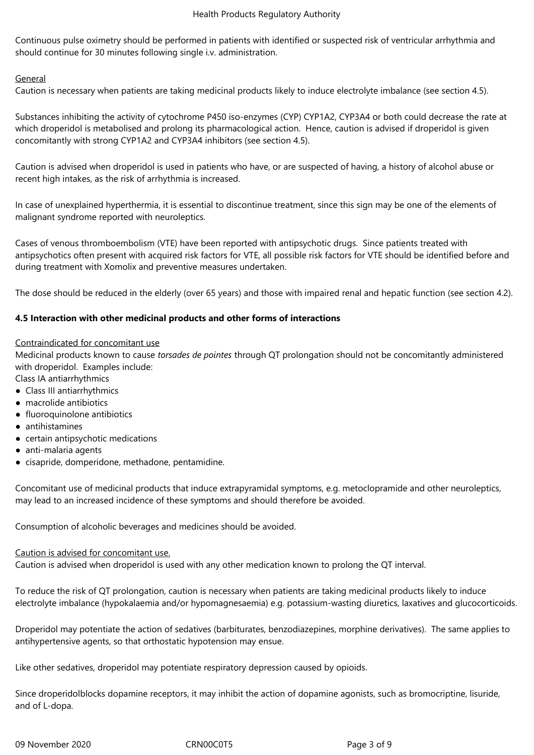Continuous pulse oximetry should be performed in patients with identified or suspected risk of ventricular arrhythmia and should continue for 30 minutes following single i.v. administration.

## General

Caution is necessary when patients are taking medicinal products likely to induce electrolyte imbalance (see section 4.5).

Substances inhibiting the activity of cytochrome P450 iso-enzymes (CYP) CYP1A2, CYP3A4 or both could decrease the rate at which droperidol is metabolised and prolong its pharmacological action. Hence, caution is advised if droperidol is given concomitantly with strong CYP1A2 and CYP3A4 inhibitors (see section 4.5).

Caution is advised when droperidol is used in patients who have, or are suspected of having, a history of alcohol abuse or recent high intakes, as the risk of arrhythmia is increased.

In case of unexplained hyperthermia, it is essential to discontinue treatment, since this sign may be one of the elements of malignant syndrome reported with neuroleptics.

Cases of venous thromboembolism (VTE) have been reported with antipsychotic drugs. Since patients treated with antipsychotics often present with acquired risk factors for VTE, all possible risk factors for VTE should be identified before and during treatment with Xomolix and preventive measures undertaken.

The dose should be reduced in the elderly (over 65 years) and those with impaired renal and hepatic function (see section 4.2).

## **4.5 Interaction with other medicinal products and other forms of interactions**

### Contraindicated for concomitant use

Medicinal products known to cause *torsades de pointes* through QT prolongation should not be concomitantly administered with droperidol. Examples include:

- Class IA antiarrhythmics
- Class III antiarrhythmics
- macrolide antibiotics
- fluoroquinolone antibiotics
- antihistamines
- certain antipsychotic medications
- anti-malaria agents
- cisapride, domperidone, methadone, pentamidine.

Concomitant use of medicinal products that induce extrapyramidal symptoms, e.g. metoclopramide and other neuroleptics, may lead to an increased incidence of these symptoms and should therefore be avoided.

Consumption of alcoholic beverages and medicines should be avoided.

Caution is advised for concomitant use.

Caution is advised when droperidol is used with any other medication known to prolong the QT interval.

To reduce the risk of QT prolongation, caution is necessary when patients are taking medicinal products likely to induce electrolyte imbalance (hypokalaemia and/or hypomagnesaemia) e.g. potassium-wasting diuretics, laxatives and glucocorticoids.

Droperidol may potentiate the action of sedatives (barbiturates, benzodiazepines, morphine derivatives). The same applies to antihypertensive agents, so that orthostatic hypotension may ensue.

Like other sedatives, droperidol may potentiate respiratory depression caused by opioids.

Since droperidolblocks dopamine receptors, it may inhibit the action of dopamine agonists, such as bromocriptine, lisuride, and of L-dopa.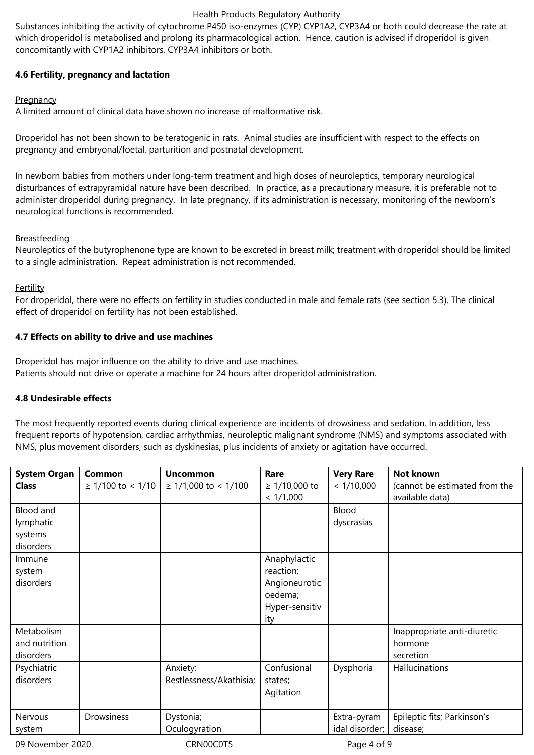Substances inhibiting the activity of cytochrome P450 iso-enzymes (CYP) CYP1A2, CYP3A4 or both could decrease the rate at which droperidol is metabolised and prolong its pharmacological action. Hence, caution is advised if droperidol is given concomitantly with CYP1A2 inhibitors, CYP3A4 inhibitors or both.

## **4.6 Fertility, pregnancy and lactation**

# **Pregnancy**

A limited amount of clinical data have shown no increase of malformative risk.

Droperidol has not been shown to be teratogenic in rats. Animal studies are insufficient with respect to the effects on pregnancy and embryonal/foetal, parturition and postnatal development.

In newborn babies from mothers under long-term treatment and high doses of neuroleptics, temporary neurological disturbances of extrapyramidal nature have been described. In practice, as a precautionary measure, it is preferable not to administer droperidol during pregnancy. In late pregnancy, if its administration is necessary, monitoring of the newborn's neurological functions is recommended.

# **Breastfeeding**

Neuroleptics of the butyrophenone type are known to be excreted in breast milk; treatment with droperidol should be limited to a single administration. Repeat administration is not recommended.

# **Fertility**

For droperidol, there were no effects on fertility in studies conducted in male and female rats (see section 5.3). The clinical effect of droperidol on fertility has not been established.

# **4.7 Effects on ability to drive and use machines**

Droperidol has major influence on the ability to drive and use machines. Patients should not drive or operate a machine for 24 hours after droperidol administration.

# **4.8 Undesirable effects**

The most frequently reported events during clinical experience are incidents of drowsiness and sedation. In addition, less frequent reports of hypotension, cardiac arrhythmias, neuroleptic malignant syndrome (NMS) and symptoms associated with NMS, plus movement disorders, such as dyskinesias, plus incidents of anxiety or agitation have occurred.

| <b>System Organ</b><br><b>Class</b>            | Common<br>≥ 1/100 to < 1/10 | <b>Uncommon</b><br>$\geq$ 1/1,000 to < 1/100 | Rare<br>$≥ 1/10,000$ to<br>< 1/1,000                                           | <b>Very Rare</b><br>< 1/10,000 | <b>Not known</b><br>(cannot be estimated from the<br>available data) |
|------------------------------------------------|-----------------------------|----------------------------------------------|--------------------------------------------------------------------------------|--------------------------------|----------------------------------------------------------------------|
| Blood and<br>lymphatic<br>systems<br>disorders |                             |                                              |                                                                                | Blood<br>dyscrasias            |                                                                      |
| Immune<br>system<br>disorders                  |                             |                                              | Anaphylactic<br>reaction;<br>Angioneurotic<br>oedema;<br>Hyper-sensitiv<br>ity |                                |                                                                      |
| Metabolism<br>and nutrition<br>disorders       |                             |                                              |                                                                                |                                | Inappropriate anti-diuretic<br>hormone<br>secretion                  |
| Psychiatric<br>disorders                       |                             | Anxiety;<br>Restlessness/Akathisia;          | Confusional<br>states;<br>Agitation                                            | Dysphoria                      | Hallucinations                                                       |
| Nervous<br>system                              | Drowsiness                  | Dystonia;<br>Oculogyration                   |                                                                                | Extra-pyram<br>idal disorder;  | Epileptic fits; Parkinson's<br>disease;                              |

09 November 2020 CRN00C0T5 Page 4 of 9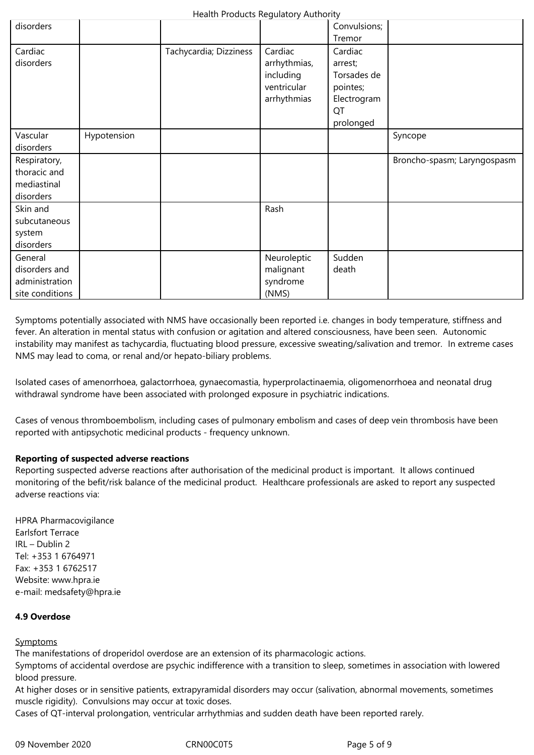| disorders       |             |                        |              | Convulsions; |                             |
|-----------------|-------------|------------------------|--------------|--------------|-----------------------------|
|                 |             |                        |              | Tremor       |                             |
| Cardiac         |             | Tachycardia; Dizziness | Cardiac      | Cardiac      |                             |
| disorders       |             |                        | arrhythmias, | arrest;      |                             |
|                 |             |                        | including    | Torsades de  |                             |
|                 |             |                        | ventricular  | pointes;     |                             |
|                 |             |                        | arrhythmias  | Electrogram  |                             |
|                 |             |                        |              | QT           |                             |
|                 |             |                        |              | prolonged    |                             |
| Vascular        | Hypotension |                        |              |              | Syncope                     |
| disorders       |             |                        |              |              |                             |
| Respiratory,    |             |                        |              |              | Broncho-spasm; Laryngospasm |
| thoracic and    |             |                        |              |              |                             |
| mediastinal     |             |                        |              |              |                             |
| disorders       |             |                        |              |              |                             |
| Skin and        |             |                        | Rash         |              |                             |
| subcutaneous    |             |                        |              |              |                             |
| system          |             |                        |              |              |                             |
| disorders       |             |                        |              |              |                             |
| General         |             |                        | Neuroleptic  | Sudden       |                             |
| disorders and   |             |                        | malignant    | death        |                             |
| administration  |             |                        | syndrome     |              |                             |
| site conditions |             |                        | (NMS)        |              |                             |

Symptoms potentially associated with NMS have occasionally been reported i.e. changes in body temperature, stiffness and fever. An alteration in mental status with confusion or agitation and altered consciousness, have been seen. Autonomic instability may manifest as tachycardia, fluctuating blood pressure, excessive sweating/salivation and tremor. In extreme cases NMS may lead to coma, or renal and/or hepato-biliary problems.

Isolated cases of amenorrhoea, galactorrhoea, gynaecomastia, hyperprolactinaemia, oligomenorrhoea and neonatal drug withdrawal syndrome have been associated with prolonged exposure in psychiatric indications.

Cases of venous thromboembolism, including cases of pulmonary embolism and cases of deep vein thrombosis have been reported with antipsychotic medicinal products - frequency unknown.

### **Reporting of suspected adverse reactions**

Reporting suspected adverse reactions after authorisation of the medicinal product is important. It allows continued monitoring of the befit/risk balance of the medicinal product. Healthcare professionals are asked to report any suspected adverse reactions via:

HPRA Pharmacovigilance Earlsfort Terrace IRL – Dublin 2 Tel: +353 1 6764971 Fax: +353 1 6762517 Website: www.hpra.ie e-mail: medsafety@hpra.ie

## **4.9 Overdose**

### **Symptoms**

The manifestations of droperidol overdose are an extension of its pharmacologic actions.

Symptoms of accidental overdose are psychic indifference with a transition to sleep, sometimes in association with lowered blood pressure.

At higher doses or in sensitive patients, extrapyramidal disorders may occur (salivation, abnormal movements, sometimes muscle rigidity). Convulsions may occur at toxic doses.

Cases of QT-interval prolongation, ventricular arrhythmias and sudden death have been reported rarely.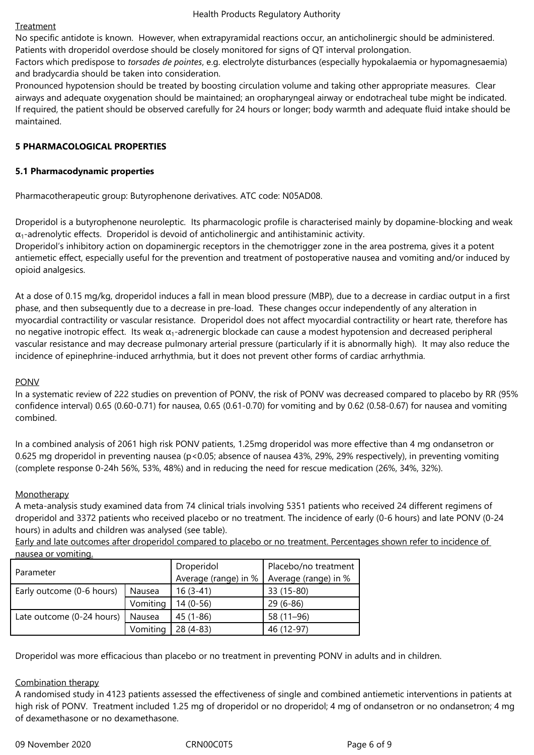#### Treatment

No specific antidote is known. However, when extrapyramidal reactions occur, an anticholinergic should be administered. Patients with droperidol overdose should be closely monitored for signs of QT interval prolongation.

Factors which predispose to *torsades de pointes*, e.g. electrolyte disturbances (especially hypokalaemia or hypomagnesaemia) and bradycardia should be taken into consideration.

Pronounced hypotension should be treated by boosting circulation volume and taking other appropriate measures. Clear airways and adequate oxygenation should be maintained; an oropharyngeal airway or endotracheal tube might be indicated. If required, the patient should be observed carefully for 24 hours or longer; body warmth and adequate fluid intake should be maintained.

## **5 PHARMACOLOGICAL PROPERTIES**

## **5.1 Pharmacodynamic properties**

Pharmacotherapeutic group: Butyrophenone derivatives. ATC code: N05AD08.

Droperidol is a butyrophenone neuroleptic. Its pharmacologic profile is characterised mainly by dopamine-blocking and weak  $\alpha_1$ -adrenolytic effects. Droperidol is devoid of anticholinergic and antihistaminic activity. Droperidol's inhibitory action on dopaminergic receptors in the chemotrigger zone in the area postrema, gives it a potent antiemetic effect, especially useful for the prevention and treatment of postoperative nausea and vomiting and/or induced by opioid analgesics.

At a dose of 0.15 mg/kg, droperidol induces a fall in mean blood pressure (MBP), due to a decrease in cardiac output in a first phase, and then subsequently due to a decrease in pre-load. These changes occur independently of any alteration in myocardial contractility or vascular resistance. Droperidol does not affect myocardial contractility or heart rate, therefore has no negative inotropic effect. Its weak  $α_1$ -adrenergic blockade can cause a modest hypotension and decreased peripheral vascular resistance and may decrease pulmonary arterial pressure (particularly if it is abnormally high). It may also reduce the incidence of epinephrine-induced arrhythmia, but it does not prevent other forms of cardiac arrhythmia.

## **PONV**

In a systematic review of 222 studies on prevention of PONV, the risk of PONV was decreased compared to placebo by RR (95% confidence interval) 0.65 (0.60-0.71) for nausea, 0.65 (0.61-0.70) for vomiting and by 0.62 (0.58-0.67) for nausea and vomiting combined.

In a combined analysis of 2061 high risk PONV patients, 1.25mg droperidol was more effective than 4 mg ondansetron or 0.625 mg droperidol in preventing nausea (p<0.05; absence of nausea 43%, 29%, 29% respectively), in preventing vomiting (complete response 0-24h 56%, 53%, 48%) and in reducing the need for rescue medication (26%, 34%, 32%).

## **Monotherapy**

A meta-analysis study examined data from 74 clinical trials involving 5351 patients who received 24 different regimens of droperidol and 3372 patients who received placebo or no treatment. The incidence of early (0-6 hours) and late PONV (0-24 hours) in adults and children was analysed (see table).

Early and late outcomes after droperidol compared to placebo or no treatment. Percentages shown refer to incidence of nausea or vomiting.

| Parameter                 |          | Droperidol           | Placebo/no treatment |
|---------------------------|----------|----------------------|----------------------|
|                           |          | Average (range) in % | Average (range) in % |
| Early outcome (0-6 hours) | Nausea   | $16(3-41)$           | 33 (15-80)           |
|                           | Vomiting | $14(0-56)$           | $29(6-86)$           |
| Late outcome (0-24 hours) | Nausea   | $45(1-86)$           | 58 (11-96)           |
|                           | Vomiting | $28(4-83)$           | 46 (12-97)           |

Droperidol was more efficacious than placebo or no treatment in preventing PONV in adults and in children.

# Combination therapy

A randomised study in 4123 patients assessed the effectiveness of single and combined antiemetic interventions in patients at high risk of PONV. Treatment included 1.25 mg of droperidol or no droperidol; 4 mg of ondansetron or no ondansetron; 4 mg of dexamethasone or no dexamethasone.

09 November 2020 CRN00C0T5 Page 6 of 9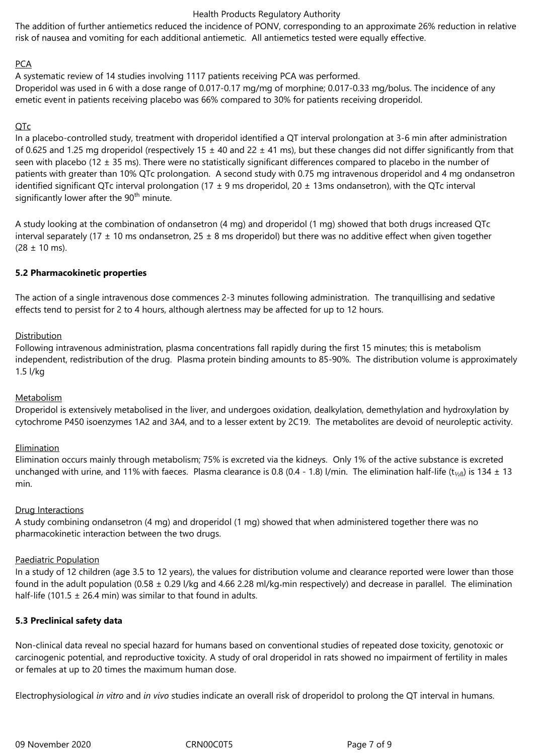The addition of further antiemetics reduced the incidence of PONV, corresponding to an approximate 26% reduction in relative risk of nausea and vomiting for each additional antiemetic. All antiemetics tested were equally effective.

## **PCA**

A systematic review of 14 studies involving 1117 patients receiving PCA was performed. Droperidol was used in 6 with a dose range of 0.017-0.17 mg/mg of morphine; 0.017-0.33 mg/bolus. The incidence of any emetic event in patients receiving placebo was 66% compared to 30% for patients receiving droperidol.

# $OTe$

In a placebo-controlled study, treatment with droperidol identified a QT interval prolongation at 3-6 min after administration of 0.625 and 1.25 mg droperidol (respectively 15  $\pm$  40 and 22  $\pm$  41 ms), but these changes did not differ significantly from that seen with placebo (12  $\pm$  35 ms). There were no statistically significant differences compared to placebo in the number of patients with greater than 10% QTc prolongation. A second study with 0.75 mg intravenous droperidol and 4 mg ondansetron identified significant QTc interval prolongation (17  $\pm$  9 ms droperidol, 20  $\pm$  13ms ondansetron), with the QTc interval significantly lower after the  $90<sup>th</sup>$  minute.

A study looking at the combination of ondansetron (4 mg) and droperidol (1 mg) showed that both drugs increased QTc interval separately (17  $\pm$  10 ms ondansetron, 25  $\pm$  8 ms droperidol) but there was no additive effect when given together  $(28 \pm 10 \text{ ms})$ .

## **5.2 Pharmacokinetic properties**

The action of a single intravenous dose commences 2-3 minutes following administration. The tranquillising and sedative effects tend to persist for 2 to 4 hours, although alertness may be affected for up to 12 hours.

## Distribution

Following intravenous administration, plasma concentrations fall rapidly during the first 15 minutes; this is metabolism independent, redistribution of the drug. Plasma protein binding amounts to 85-90%. The distribution volume is approximately 1.5 l/kg

## Metabolism

Droperidol is extensively metabolised in the liver, and undergoes oxidation, dealkylation, demethylation and hydroxylation by cytochrome P450 isoenzymes 1A2 and 3A4, and to a lesser extent by 2C19. The metabolites are devoid of neuroleptic activity.

### Elimination

Elimination occurs mainly through metabolism; 75% is excreted via the kidneys. Only 1% of the active substance is excreted unchanged with urine, and 11% with faeces. Plasma clearance is 0.8 (0.4 - 1.8) l/min. The elimination half-life (t<sub>1/8</sub>) is 134  $\pm$  13 min.

### Drug Interactions

A study combining ondansetron (4 mg) and droperidol (1 mg) showed that when administered together there was no pharmacokinetic interaction between the two drugs.

### Paediatric Population

In a study of 12 children (age 3.5 to 12 years), the values for distribution volume and clearance reported were lower than those found in the adult population (0.58  $\pm$  0.29 l/kg and 4.66 2.28 ml/kg\*min respectively) and decrease in parallel. The elimination half-life (101.5  $\pm$  26.4 min) was similar to that found in adults.

## **5.3 Preclinical safety data**

Non-clinical data reveal no special hazard for humans based on conventional studies of repeated dose toxicity, genotoxic or carcinogenic potential, and reproductive toxicity. A study of oral droperidol in rats showed no impairment of fertility in males or females at up to 20 times the maximum human dose.

Electrophysiological *in vitro* and *in vivo* studies indicate an overall risk of droperidol to prolong the QT interval in humans.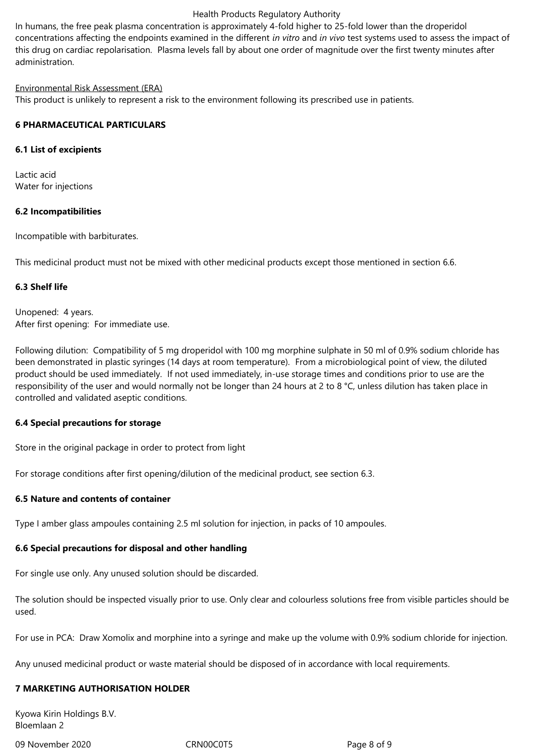In humans, the free peak plasma concentration is approximately 4-fold higher to 25-fold lower than the droperidol concentrations affecting the endpoints examined in the different *in vitro* and *in vivo* test systems used to assess the impact of this drug on cardiac repolarisation. Plasma levels fall by about one order of magnitude over the first twenty minutes after administration.

#### Environmental Risk Assessment (ERA)

This product is unlikely to represent a risk to the environment following its prescribed use in patients.

## **6 PHARMACEUTICAL PARTICULARS**

## **6.1 List of excipients**

Lactic acid Water for injections

## **6.2 Incompatibilities**

Incompatible with barbiturates.

This medicinal product must not be mixed with other medicinal products except those mentioned in section 6.6.

## **6.3 Shelf life**

Unopened: 4 years. After first opening: For immediate use.

Following dilution: Compatibility of 5 mg droperidol with 100 mg morphine sulphate in 50 ml of 0.9% sodium chloride has been demonstrated in plastic syringes (14 days at room temperature). From a microbiological point of view, the diluted product should be used immediately. If not used immediately, in-use storage times and conditions prior to use are the responsibility of the user and would normally not be longer than 24 hours at 2 to 8 °C, unless dilution has taken place in controlled and validated aseptic conditions.

### **6.4 Special precautions for storage**

Store in the original package in order to protect from light

For storage conditions after first opening/dilution of the medicinal product, see section 6.3.

## **6.5 Nature and contents of container**

Type I amber glass ampoules containing 2.5 ml solution for injection, in packs of 10 ampoules.

## **6.6 Special precautions for disposal and other handling**

For single use only. Any unused solution should be discarded.

The solution should be inspected visually prior to use. Only clear and colourless solutions free from visible particles should be used.

For use in PCA: Draw Xomolix and morphine into a syringe and make up the volume with 0.9% sodium chloride for injection.

Any unused medicinal product or waste material should be disposed of in accordance with local requirements.

## **7 MARKETING AUTHORISATION HOLDER**

Kyowa Kirin Holdings B.V. Bloemlaan 2